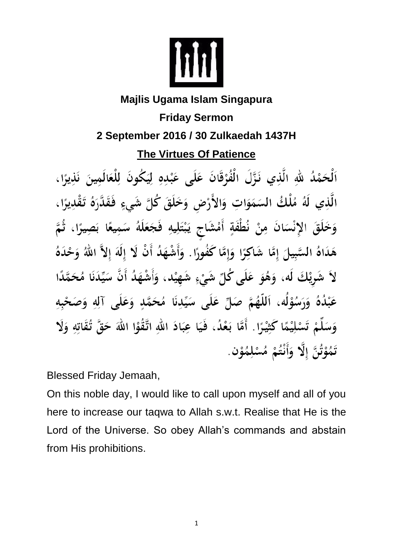

## **Majlis Ugama Islam Singapura Friday Sermon 2 September 2016 / 30 Zulkaedah 1437H The Virtues Of Patience**

ٱلْحَمْدُ للهِ الَّذِي نَزَّلَ الْفُرْقَانَ عَلَى عَبْدِهِ لِيَكُونَ لِلْعَالَمِينَ نَذِيرًا، الَّذِي لَهُ مُلْكُ السَمَوَاتِ وَالأَرْضِ وَخَلَقَ كُلَّ شَيءٍ فَقَدَّرَهُ تَقْدِيرًا، وَخَلَقَ الإِنْسَانَ مِنْ نُطْفَةٍ أَمْشَاجٍ يَبْتَلِيهِ فَجَعَلَهُ سَمِيعًا بَصِيرًا، ثُمَّ هَدَاهُ السَّبِيلَ إِمَّا شَاكِرًا وَإِمَّا كَفُورًا. وَأَشْهَدُ أَنْ لَا إِلَهَ إِلاَّ اللهُ وَحْدَهُ لاَ شَرِيْكَ لَه، وَهُوَ عَلَى كُلِّ شَيْءٍ شَهِيْد، وَأَشْهَدُ أَنَّ سَيِّدَنَا مُحَمَّدًا عَبْدُهُ وَرَسُوْلُه، اَللَّهُمَّ صَلِّ عَلَى سَيِّدِنَا مُحَمَّدٍ وَعَلَى آلِهِ وَصَحْبِهِ وَسَلِّمْ تَسْلِيْمًا كَثِيْرًا . أَمَّا بَعْدُ، فَيَا عِبَادَ اللهِ اتَّقُوْا اللهَ حَقَّ تُقَاتِهِ وَلَا تَمُوْتُنَّ إِلَّا ۖ وَأَنْتُمْ مُسْلِمُوْنَ.

Blessed Friday Jemaah,

On this noble day, I would like to call upon myself and all of you here to increase our taqwa to Allah s.w.t. Realise that He is the Lord of the Universe. So obey Allah's commands and abstain from His prohibitions.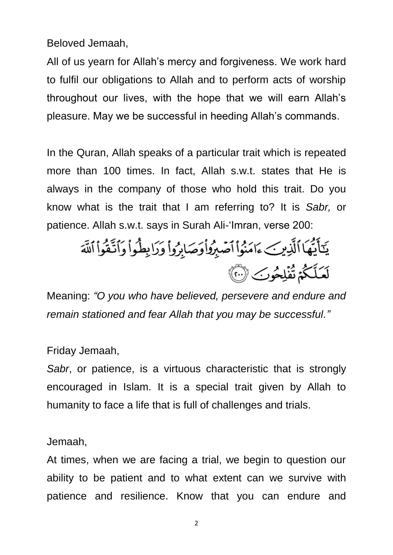Beloved Jemaah,

All of us yearn for Allah's mercy and forgiveness. We work hard to fulfil our obligations to Allah and to perform acts of worship throughout our lives, with the hope that we will earn Allah's pleasure. May we be successful in heeding Allah's commands.

In the Quran, Allah speaks of a particular trait which is repeated more than 100 times. In fact, Allah s.w.t. states that He is always in the company of those who hold this trait. Do you know what is the trait that I am referring to? It is *Sabr,* or patience. Allah s.w.t. says in Surah Ali-'Imran, verse 200:

يَكَأَيُّهَا ٱلَّذِينَ ءَامَنُواْ ٱصۡبِرُواْوَصَابِرُواْ وَرَابِطُواْ وَٱتَّقُواْ ٱللَّهَ لَعَلَّكُمُ تُفَلِحُوبَ ۞

Meaning: *"O you who have believed, persevere and endure and remain stationed and fear Allah that you may be successful."*

Friday Jemaah,

*Sabr*, or patience, is a virtuous characteristic that is strongly encouraged in Islam. It is a special trait given by Allah to humanity to face a life that is full of challenges and trials.

Jemaah,

At times, when we are facing a trial, we begin to question our ability to be patient and to what extent can we survive with patience and resilience. Know that you can endure and

2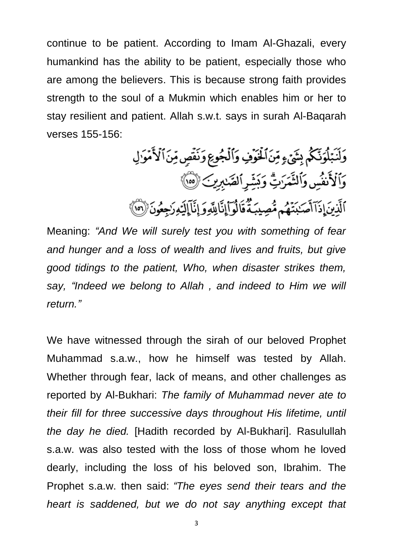continue to be patient. According to Imam Al-Ghazali, every humankind has the ability to be patient, especially those who are among the believers. This is because strong faith provides strength to the soul of a Mukmin which enables him or her to stay resilient and patient. Allah s.w.t. says in surah Al-Baqarah verses 155-156:

> وَلَنَبۡلُوَنَّكُمۡ بِشَىۡءٍ مِّنَ ٱلۡخَوۡفِ وَٱلۡجُوعِ وَنَفۡصٍ مِّنَ ٱلۡأَمۡوَٰ لِ وَٱلْأَنفُسِ وَٱلثَّمَرَٰتِّ وَبَشِّرِ ٱلصَّٰبِرِينَ (00) ٱلَّذِينَ إِذَآ أَصَـٰبَنَّهُم مُّصِيبَةٌ قَالُوٓاْإِنَّالِلَّهِ وَإِنَّاۤ إِلَيۡهِ رَجِعُونَ ۚ (0)

Meaning: *"And We will surely test you with something of fear and hunger and a loss of wealth and lives and fruits, but give good tidings to the patient, Who, when disaster strikes them, say, "Indeed we belong to Allah , and indeed to Him we will return."*

We have witnessed through the sirah of our beloved Prophet Muhammad s.a.w., how he himself was tested by Allah. Whether through fear, lack of means, and other challenges as reported by Al-Bukhari: *The family of Muhammad never ate to their fill for three successive days throughout His lifetime, until the day he died.* [Hadith recorded by Al-Bukhari]. Rasulullah s.a.w. was also tested with the loss of those whom he loved dearly, including the loss of his beloved son, Ibrahim. The Prophet s.a.w. then said: *"The eyes send their tears and the heart is saddened, but we do not say anything except that*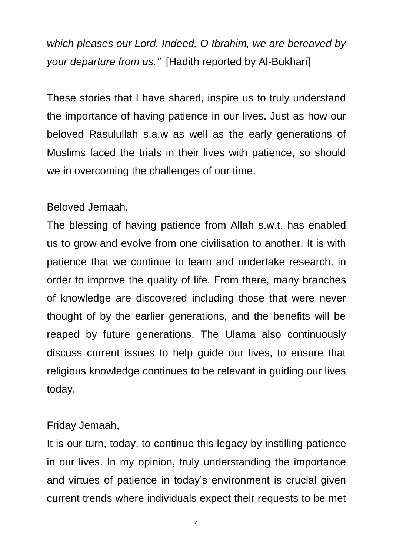*which pleases our Lord. Indeed, O Ibrahim, we are bereaved by your departure from us."* [Hadith reported by Al-Bukhari]

These stories that I have shared, inspire us to truly understand the importance of having patience in our lives. Just as how our beloved Rasulullah s.a.w as well as the early generations of Muslims faced the trials in their lives with patience, so should we in overcoming the challenges of our time.

## Beloved Jemaah,

The blessing of having patience from Allah s.w.t. has enabled us to grow and evolve from one civilisation to another. It is with patience that we continue to learn and undertake research, in order to improve the quality of life. From there, many branches of knowledge are discovered including those that were never thought of by the earlier generations, and the benefits will be reaped by future generations. The Ulama also continuously discuss current issues to help guide our lives, to ensure that religious knowledge continues to be relevant in guiding our lives today.

## Friday Jemaah,

It is our turn, today, to continue this legacy by instilling patience in our lives. In my opinion, truly understanding the importance and virtues of patience in today's environment is crucial given current trends where individuals expect their requests to be met

4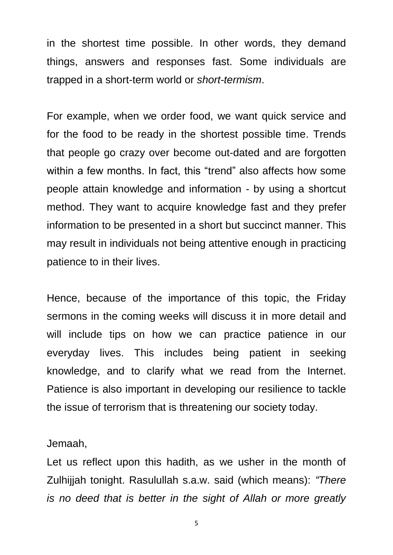in the shortest time possible. In other words, they demand things, answers and responses fast. Some individuals are trapped in a short-term world or *short-termism*.

For example, when we order food, we want quick service and for the food to be ready in the shortest possible time. Trends that people go crazy over become out-dated and are forgotten within a few months. In fact, this "trend" also affects how some people attain knowledge and information - by using a shortcut method. They want to acquire knowledge fast and they prefer information to be presented in a short but succinct manner. This may result in individuals not being attentive enough in practicing patience to in their lives.

Hence, because of the importance of this topic, the Friday sermons in the coming weeks will discuss it in more detail and will include tips on how we can practice patience in our everyday lives. This includes being patient in seeking knowledge, and to clarify what we read from the Internet. Patience is also important in developing our resilience to tackle the issue of terrorism that is threatening our society today.

## Jemaah,

Let us reflect upon this hadith, as we usher in the month of Zulhijjah tonight. Rasulullah s.a.w. said (which means): *"There is no deed that is better in the sight of Allah or more greatly* 

5